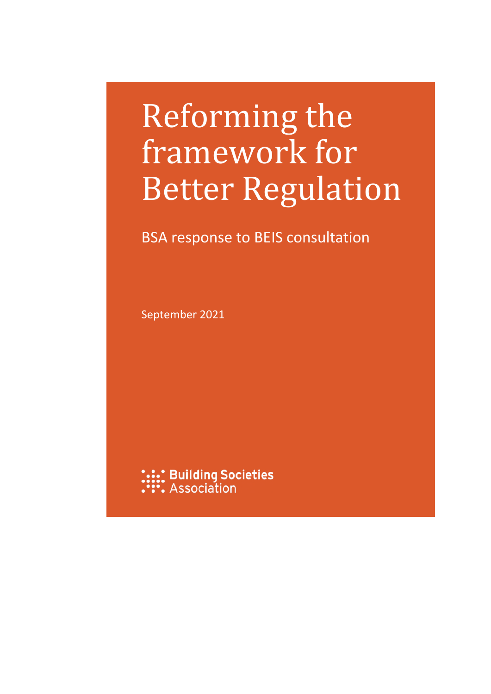# Reforming the framework for Better Regulation

### BSA response to BEIS consultation

September 2021

**:.::: Building Societies**<br>:::: Association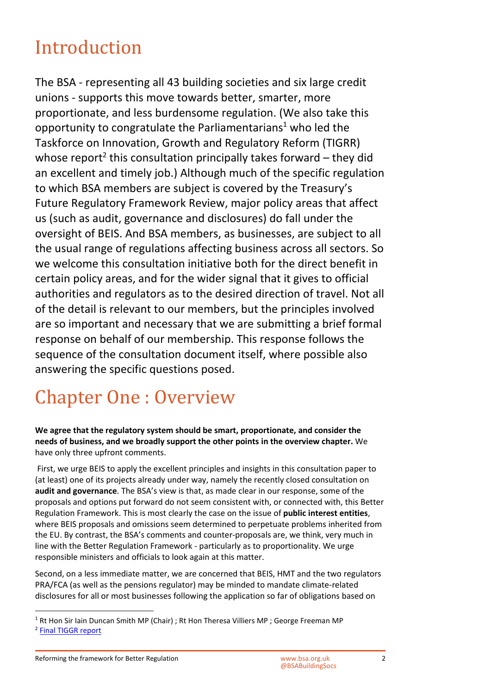### Introduction

The BSA - representing all 43 building societies and six large credit unions - supports this move towards better, smarter, more proportionate, and less burdensome regulation. (We also take this opportunity to congratulate the Parliamentarians<sup>[1](#page-1-0)</sup> who led the Taskforce on Innovation, Growth and Regulatory Reform (TIGRR) whose report<sup>[2](#page-1-1)</sup> this consultation principally takes forward  $-$  they did an excellent and timely job.) Although much of the specific regulation to which BSA members are subject is covered by the Treasury's Future Regulatory Framework Review, major policy areas that affect us (such as audit, governance and disclosures) do fall under the oversight of BEIS. And BSA members, as businesses, are subject to all the usual range of regulations affecting business across all sectors. So we welcome this consultation initiative both for the direct benefit in certain policy areas, and for the wider signal that it gives to official authorities and regulators as to the desired direction of travel. Not all of the detail is relevant to our members, but the principles involved are so important and necessary that we are submitting a brief formal response on behalf of our membership. This response follows the sequence of the consultation document itself, where possible also answering the specific questions posed.

## Chapter One : Overview

**We agree that the regulatory system should be smart, proportionate, and consider the needs of business, and we broadly support the other points in the overview chapter.** We have only three upfront comments.

 First, we urge BEIS to apply the excellent principles and insights in this consultation paper to (at least) one of its projects already under way, namely the recently closed consultation on **audit and governance**. The BSA's view is that, as made clear in our response, some of the proposals and options put forward do not seem consistent with, or connected with, this Better Regulation Framework. This is most clearly the case on the issue of **public interest entities**, where BEIS proposals and omissions seem determined to perpetuate problems inherited from the EU. By contrast, the BSA's comments and counter-proposals are, we think, very much in line with the Better Regulation Framework - particularly as to proportionality. We urge responsible ministers and officials to look again at this matter.

Second, on a less immediate matter, we are concerned that BEIS, HMT and the two regulators PRA/FCA (as well as the pensions regulator) may be minded to mandate climate-related disclosures for all or most businesses following the application so far of obligations based on

<span id="page-1-1"></span><span id="page-1-0"></span><sup>&</sup>lt;sup>1</sup> Rt Hon Sir Iain Duncan Smith MP (Chair) ; Rt Hon Theresa Villiers MP ; George Freeman MP <sup>2</sup> Final TIGGR report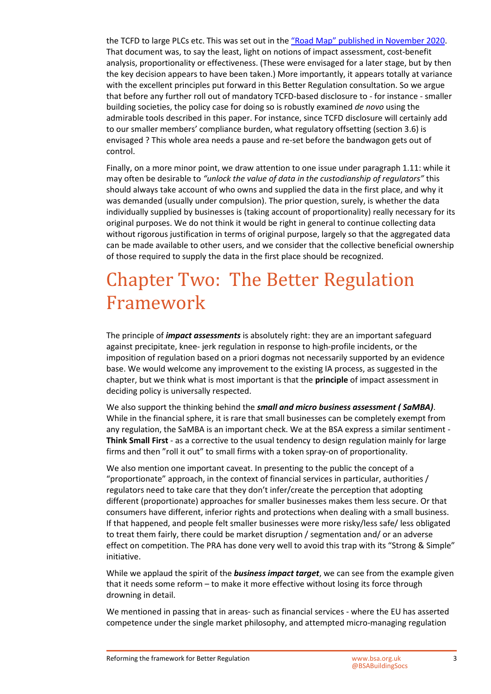the TCFD to large PLCs etc. This was set out in the ["Road Map" published in November 2020.](https://assets.publishing.service.gov.uk/government/uploads/system/uploads/attachment_data/file/933783/FINAL_TCFD_ROADMAP.pdf) That document was, to say the least, light on notions of impact assessment, cost-benefit analysis, proportionality or effectiveness. (These were envisaged for a later stage, but by then the key decision appears to have been taken.) More importantly, it appears totally at variance with the excellent principles put forward in this Better Regulation consultation. So we argue that before any further roll out of mandatory TCFD-based disclosure to - for instance - smaller building societies, the policy case for doing so is robustly examined *de novo* using the admirable tools described in this paper. For instance, since TCFD disclosure will certainly add to our smaller members' compliance burden, what regulatory offsetting (section 3.6) is envisaged ? This whole area needs a pause and re-set before the bandwagon gets out of control.

Finally, on a more minor point, we draw attention to one issue under paragraph 1.11: while it may often be desirable to *"unlock the value of data in the custodianship of regulators"* this should always take account of who owns and supplied the data in the first place, and why it was demanded (usually under compulsion). The prior question, surely, is whether the data individually supplied by businesses is (taking account of proportionality) really necessary for its original purposes. We do not think it would be right in general to continue collecting data without rigorous justification in terms of original purpose, largely so that the aggregated data can be made available to other users, and we consider that the collective beneficial ownership of those required to supply the data in the first place should be recognized.

### Chapter Two: The Better Regulation Framework

The principle of *impact assessments* is absolutely right: they are an important safeguard against precipitate, knee- jerk regulation in response to high-profile incidents, or the imposition of regulation based on a priori dogmas not necessarily supported by an evidence base. We would welcome any improvement to the existing IA process, as suggested in the chapter, but we think what is most important is that the **principle** of impact assessment in deciding policy is universally respected.

We also support the thinking behind the *small and micro business assessment ( SaMBA)*. While in the financial sphere, it is rare that small businesses can be completely exempt from any regulation, the SaMBA is an important check. We at the BSA express a similar sentiment - **Think Small First** - as a corrective to the usual tendency to design regulation mainly for large firms and then "roll it out" to small firms with a token spray-on of proportionality.

We also mention one important caveat. In presenting to the public the concept of a "proportionate" approach, in the context of financial services in particular, authorities / regulators need to take care that they don't infer/create the perception that adopting different (proportionate) approaches for smaller businesses makes them less secure. Or that consumers have different, inferior rights and protections when dealing with a small business. If that happened, and people felt smaller businesses were more risky/less safe/ less obligated to treat them fairly, there could be market disruption / segmentation and/ or an adverse effect on competition. The PRA has done very well to avoid this trap with its "Strong & Simple" initiative.

While we applaud the spirit of the *business impact target*, we can see from the example given that it needs some reform – to make it more effective without losing its force through drowning in detail.

We mentioned in passing that in areas- such as financial services - where the EU has asserted competence under the single market philosophy, and attempted micro-managing regulation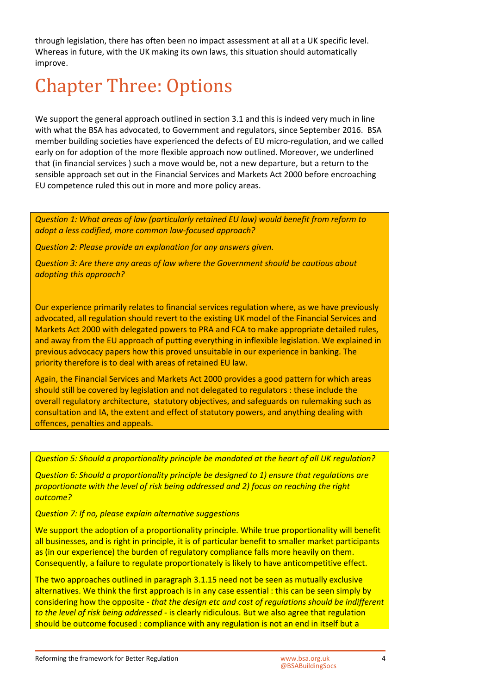through legislation, there has often been no impact assessment at all at a UK specific level. Whereas in future, with the UK making its own laws, this situation should automatically improve.

### Chapter Three: Options

We support the general approach outlined in section 3.1 and this is indeed very much in line with what the BSA has advocated, to Government and regulators, since September 2016. BSA member building societies have experienced the defects of EU micro-regulation, and we called early on for adoption of the more flexible approach now outlined. Moreover, we underlined that (in financial services ) such a move would be, not a new departure, but a return to the sensible approach set out in the Financial Services and Markets Act 2000 before encroaching EU competence ruled this out in more and more policy areas.

*Question 1: What areas of law (particularly retained EU law) would benefit from reform to adopt a less codified, more common law-focused approach?* 

*Question 2: Please provide an explanation for any answers given.* 

*Question 3: Are there any areas of law where the Government should be cautious about adopting this approach?* 

Our experience primarily relates to financial services regulation where, as we have previously advocated, all regulation should revert to the existing UK model of the Financial Services and Markets Act 2000 with delegated powers to PRA and FCA to make appropriate detailed rules, and away from the EU approach of putting everything in inflexible legislation. We explained in previous advocacy papers how this proved unsuitable in our experience in banking. The priority therefore is to deal with areas of retained EU law.

Again, the Financial Services and Markets Act 2000 provides a good pattern for which areas should still be covered by legislation and not delegated to regulators : these include the overall regulatory architecture, statutory objectives, and safeguards on rulemaking such as consultation and IA, the extent and effect of statutory powers, and anything dealing with offences, penalties and appeals.

#### *Question 5: Should a proportionality principle be mandated at the heart of all UK regulation?*

*Question 6: Should a proportionality principle be designed to 1) ensure that regulations are proportionate with the level of risk being addressed and 2) focus on reaching the right outcome?* 

#### *Question 7: If no, please explain alternative suggestions*

We support the adoption of a proportionality principle. While true proportionality will benefit all businesses, and is right in principle, it is of particular benefit to smaller market participants as (in our experience) the burden of regulatory compliance falls more heavily on them. Consequently, a failure to regulate proportionately is likely to have anticompetitive effect.

The two approaches outlined in paragraph 3.1.15 need not be seen as mutually exclusive alternatives. We think the first approach is in any case essential : this can be seen simply by considering how the opposite - *that the design etc and cost of regulations should be indifferent to the level of risk being addressed* - is clearly ridiculous. But we also agree that regulation should be outcome focused : compliance with any regulation is not an end in itself but a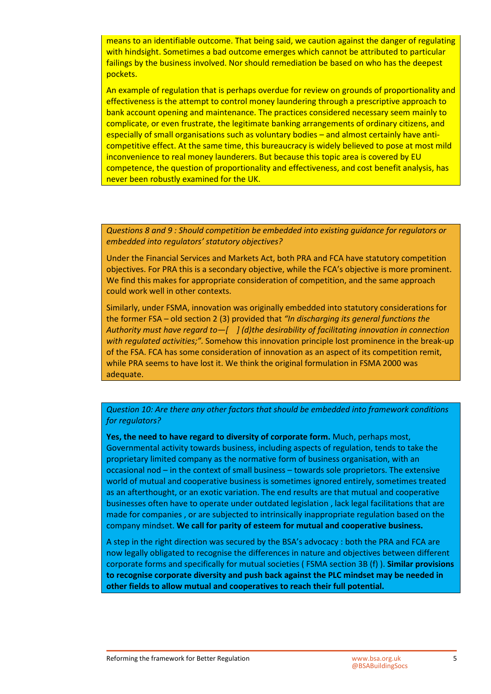means to an identifiable outcome. That being said, we caution against the danger of regulating with hindsight. Sometimes a bad outcome emerges which cannot be attributed to particular failings by the business involved. Nor should remediation be based on who has the deepest pockets.

An example of regulation that is perhaps overdue for review on grounds of proportionality and effectiveness is the attempt to control money laundering through a prescriptive approach to bank account opening and maintenance. The practices considered necessary seem mainly to complicate, or even frustrate, the legitimate banking arrangements of ordinary citizens, and especially of small organisations such as voluntary bodies – and almost certainly have anticompetitive effect. At the same time, this bureaucracy is widely believed to pose at most mild inconvenience to real money launderers. But because this topic area is covered by EU competence, the question of proportionality and effectiveness, and cost benefit analysis, has never been robustly examined for the UK.

*Questions 8 and 9 : Should competition be embedded into existing guidance for regulators or embedded into regulators' statutory objectives?* 

Under the Financial Services and Markets Act, both PRA and FCA have statutory competition objectives. For PRA this is a secondary objective, while the FCA's objective is more prominent. We find this makes for appropriate consideration of competition, and the same approach could work well in other contexts.

Similarly, under FSMA, innovation was originally embedded into statutory considerations for the former FSA – old section 2 (3) provided that *"In discharging its general functions the Authority must have regard to—[ ] (d)the desirability of facilitating innovation in connection with regulated activities;".* Somehow this innovation principle lost prominence in the break-up of the FSA. FCA has some consideration of innovation as an aspect of its competition remit, while PRA seems to have lost it. We think the original formulation in FSMA 2000 was adequate.

*Question 10: Are there any other factors that should be embedded into framework conditions for regulators?* 

**Yes, the need to have regard to diversity of corporate form.** Much, perhaps most, Governmental activity towards business, including aspects of regulation, tends to take the proprietary limited company as the normative form of business organisation, with an occasional nod – in the context of small business – towards sole proprietors. The extensive world of mutual and cooperative business is sometimes ignored entirely, sometimes treated as an afterthought, or an exotic variation. The end results are that mutual and cooperative businesses often have to operate under outdated legislation , lack legal facilitations that are made for companies , or are subjected to intrinsically inappropriate regulation based on the company mindset. **We call for parity of esteem for mutual and cooperative business.** 

A step in the right direction was secured by the BSA's advocacy : both the PRA and FCA are now legally obligated to recognise the differences in nature and objectives between different corporate forms and specifically for mutual societies ( FSMA section 3B (f) ). **Similar provisions to recognise corporate diversity and push back against the PLC mindset may be needed in other fields to allow mutual and cooperatives to reach their full potential.**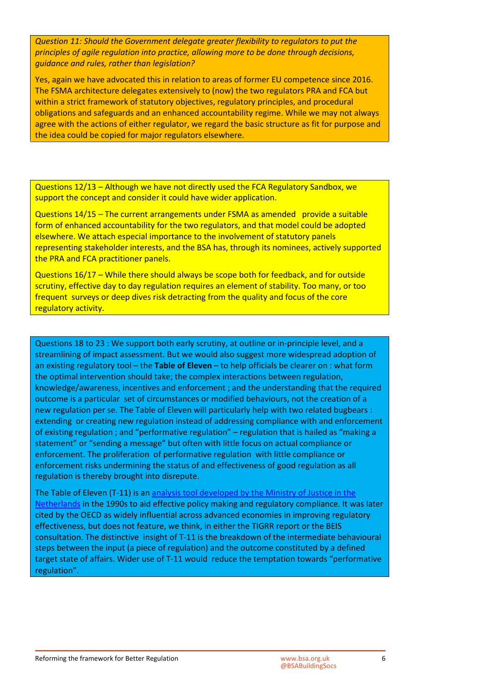*Question 11: Should the Government delegate greater flexibility to regulators to put the principles of agile regulation into practice, allowing more to be done through decisions, guidance and rules, rather than legislation?* 

Yes, again we have advocated this in relation to areas of former EU competence since 2016. The FSMA architecture delegates extensively to (now) the two regulators PRA and FCA but within a strict framework of statutory objectives, regulatory principles, and procedural obligations and safeguards and an enhanced accountability regime. While we may not always agree with the actions of either regulator, we regard the basic structure as fit for purpose and the idea could be copied for major regulators elsewhere.

Questions 12/13 – Although we have not directly used the FCA Regulatory Sandbox, we support the concept and consider it could have wider application.

Questions 14/15 – The current arrangements under FSMA as amended provide a suitable form of enhanced accountability for the two regulators, and that model could be adopted elsewhere. We attach especial importance to the involvement of statutory panels representing stakeholder interests, and the BSA has, through its nominees, actively supported the PRA and FCA practitioner panels.

Questions 16/17 – While there should always be scope both for feedback, and for outside scrutiny, effective day to day regulation requires an element of stability. Too many, or too frequent surveys or deep dives risk detracting from the quality and focus of the core regulatory activity.

Questions 18 to 23 : We support both early scrutiny, at outline or in-principle level, and a streamlining of impact assessment. But we would also suggest more widespread adoption of an existing regulatory tool – the **Table of Eleven** – to help officials be clearer on : what form the optimal intervention should take; the complex interactions between regulation, knowledge/awareness, incentives and enforcement ; and the understanding that the required outcome is a particular set of circumstances or modified behaviours, not the creation of a new regulation per se. The Table of Eleven will particularly help with two related bugbears : extending or creating new regulation instead of addressing compliance with and enforcement of existing regulation ; and "performative regulation" – regulation that is hailed as "making a statement" or "sending a message" but often with little focus on actual compliance or enforcement. The proliferation of performative regulation with little compliance or enforcement risks undermining the status of and effectiveness of good regulation as all regulation is thereby brought into disrepute.

The Table of Eleven (T-11) is an [analysis tool developed by the Ministry of Justice in the](https://pdf4pro.com/cdn/version-november-2004-sam-31daf1.pdf)  [Netherlands in the 1990s to aid effective policy making and regulatory compliance. It was later](https://pdf4pro.com/cdn/version-november-2004-sam-31daf1.pdf)  cited by the OECD as widely influential across advanced economies in improving regulatory effectiveness, but does not feature, we think, in either the TIGRR report or the BEIS consultation. The distinctive insight of T-11 is the breakdown of the intermediate behavioural steps between the input (a piece of regulation) and the outcome constituted by a defined target state of affairs. Wider use of T-11 would reduce the temptation towards "performative regulation".